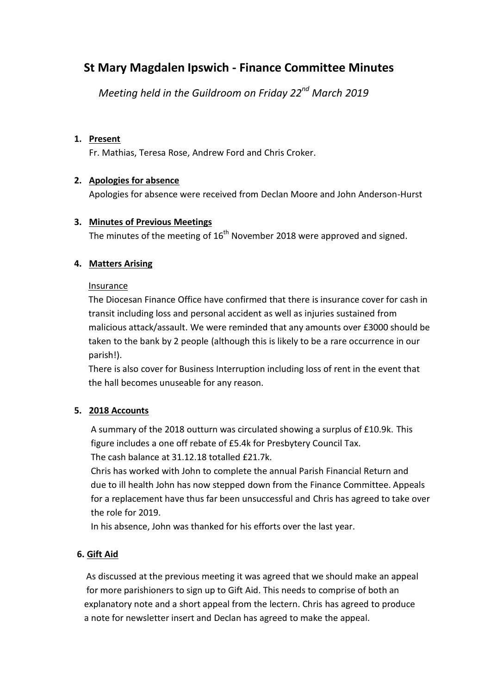## **St Mary Magdalen Ipswich - Finance Committee Minutes**

 *Meeting held in the Guildroom on Friday 22nd March 2019*

#### **1. Present**

Fr. Mathias, Teresa Rose, Andrew Ford and Chris Croker.

#### **2. Apologies for absence**

Apologies for absence were received from Declan Moore and John Anderson-Hurst

#### **3. Minutes of Previous Meetings**

The minutes of the meeting of  $16<sup>th</sup>$  November 2018 were approved and signed.

#### **4. Matters Arising**

#### Insurance

The Diocesan Finance Office have confirmed that there is insurance cover for cash in transit including loss and personal accident as well as injuries sustained from malicious attack/assault. We were reminded that any amounts over £3000 should be taken to the bank by 2 people (although this is likely to be a rare occurrence in our parish!).

There is also cover for Business Interruption including loss of rent in the event that the hall becomes unuseable for any reason.

## **5. 2018 Accounts**

 A summary of the 2018 outturn was circulated showing a surplus of £10.9k. This figure includes a one off rebate of £5.4k for Presbytery Council Tax. The cash balance at 31.12.18 totalled £21.7k.

 Chris has worked with John to complete the annual Parish Financial Return and due to ill health John has now stepped down from the Finance Committee. Appeals for a replacement have thus far been unsuccessful and Chris has agreed to take over the role for 2019.

In his absence, John was thanked for his efforts over the last year.

## **6. Gift Aid**

 As discussed at the previous meeting it was agreed that we should make an appeal for more parishioners to sign up to Gift Aid. This needs to comprise of both an explanatory note and a short appeal from the lectern. Chris has agreed to produce a note for newsletter insert and Declan has agreed to make the appeal.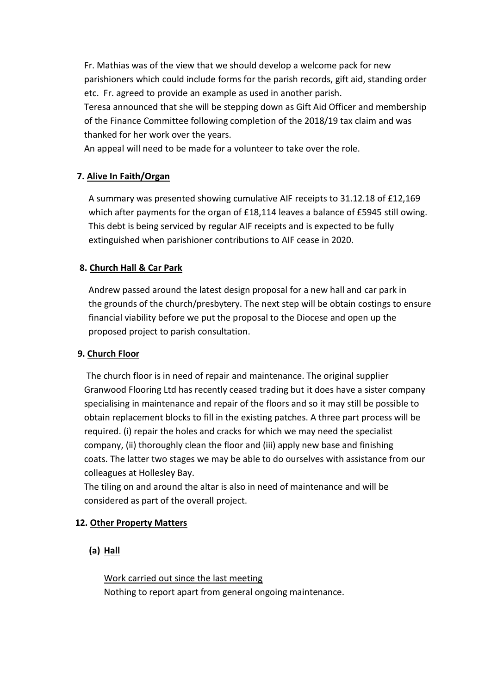Fr. Mathias was of the view that we should develop a welcome pack for new parishioners which could include forms for the parish records, gift aid, standing order etc. Fr. agreed to provide an example as used in another parish.

 Teresa announced that she will be stepping down as Gift Aid Officer and membership of the Finance Committee following completion of the 2018/19 tax claim and was thanked for her work over the years.

An appeal will need to be made for a volunteer to take over the role.

## **7. Alive In Faith/Organ**

A summary was presented showing cumulative AIF receipts to 31.12.18 of £12,169 which after payments for the organ of £18,114 leaves a balance of £5945 still owing. This debt is being serviced by regular AIF receipts and is expected to be fully extinguished when parishioner contributions to AIF cease in 2020.

## **8. Church Hall & Car Park**

 Andrew passed around the latest design proposal for a new hall and car park in the grounds of the church/presbytery. The next step will be obtain costings to ensure financial viability before we put the proposal to the Diocese and open up the proposed project to parish consultation.

## **9. Church Floor**

 The church floor is in need of repair and maintenance. The original supplier Granwood Flooring Ltd has recently ceased trading but it does have a sister company specialising in maintenance and repair of the floors and so it may still be possible to obtain replacement blocks to fill in the existing patches. A three part process will be required. (i) repair the holes and cracks for which we may need the specialist company, (ii) thoroughly clean the floor and (iii) apply new base and finishing coats. The latter two stages we may be able to do ourselves with assistance from our colleagues at Hollesley Bay.

 The tiling on and around the altar is also in need of maintenance and will be considered as part of the overall project.

## **12. Other Property Matters**

## **(a) Hall**

Work carried out since the last meeting Nothing to report apart from general ongoing maintenance.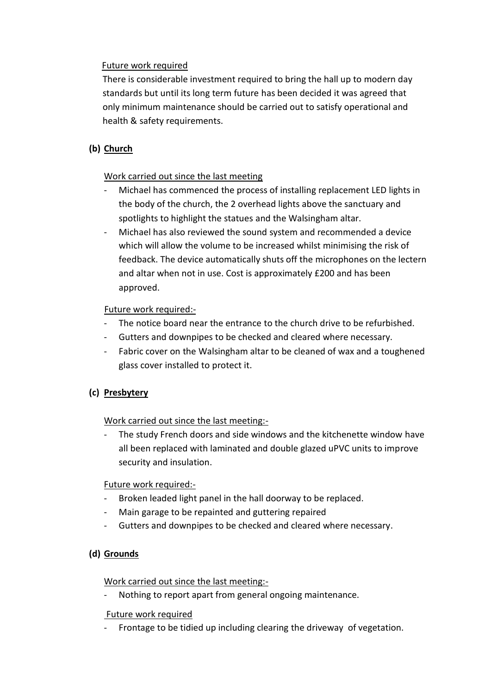#### Future work required

 There is considerable investment required to bring the hall up to modern day standards but until its long term future has been decided it was agreed that only minimum maintenance should be carried out to satisfy operational and health & safety requirements.

## **(b) Church**

#### Work carried out since the last meeting

- Michael has commenced the process of installing replacement LED lights in the body of the church, the 2 overhead lights above the sanctuary and spotlights to highlight the statues and the Walsingham altar.
- Michael has also reviewed the sound system and recommended a device which will allow the volume to be increased whilst minimising the risk of feedback. The device automatically shuts off the microphones on the lectern and altar when not in use. Cost is approximately £200 and has been approved.

#### Future work required:-

- The notice board near the entrance to the church drive to be refurbished.
- Gutters and downpipes to be checked and cleared where necessary.
- Fabric cover on the Walsingham altar to be cleaned of wax and a toughened glass cover installed to protect it.

## **(c) Presbytery**

#### Work carried out since the last meeting:-

The study French doors and side windows and the kitchenette window have all been replaced with laminated and double glazed uPVC units to improve security and insulation.

#### Future work required:-

- Broken leaded light panel in the hall doorway to be replaced.
- Main garage to be repainted and guttering repaired
- Gutters and downpipes to be checked and cleared where necessary.

## **(d) Grounds**

#### Work carried out since the last meeting:-

Nothing to report apart from general ongoing maintenance.

#### Future work required

Frontage to be tidied up including clearing the driveway of vegetation.